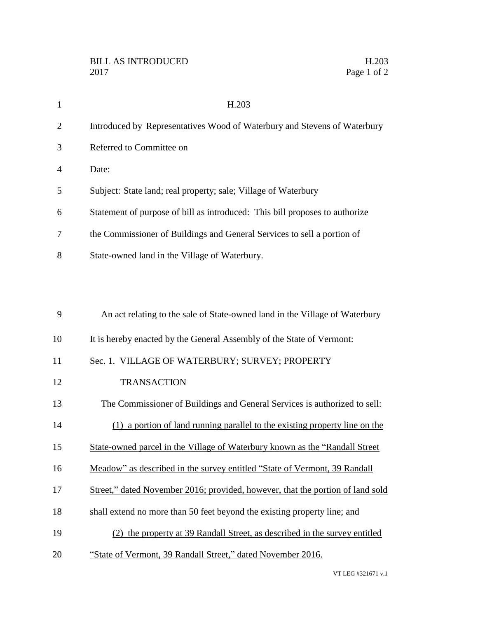| $\mathbf{1}$   | H.203                                                                          |
|----------------|--------------------------------------------------------------------------------|
| $\overline{2}$ | Introduced by Representatives Wood of Waterbury and Stevens of Waterbury       |
| 3              | Referred to Committee on                                                       |
| 4              | Date:                                                                          |
| 5              | Subject: State land; real property; sale; Village of Waterbury                 |
| 6              | Statement of purpose of bill as introduced: This bill proposes to authorize    |
| 7              | the Commissioner of Buildings and General Services to sell a portion of        |
| 8              | State-owned land in the Village of Waterbury.                                  |
|                |                                                                                |
|                |                                                                                |
| 9              | An act relating to the sale of State-owned land in the Village of Waterbury    |
| 10             | It is hereby enacted by the General Assembly of the State of Vermont:          |
| 11             | Sec. 1. VILLAGE OF WATERBURY; SURVEY; PROPERTY                                 |
| 12             | <b>TRANSACTION</b>                                                             |
| 13             | The Commissioner of Buildings and General Services is authorized to sell:      |
| 14             | (1) a portion of land running parallel to the existing property line on the    |
| 15             | State-owned parcel in the Village of Waterbury known as the "Randall Street"   |
| 16             | Meadow" as described in the survey entitled "State of Vermont, 39 Randall      |
| 17             | Street," dated November 2016; provided, however, that the portion of land sold |
| 18             | shall extend no more than 50 feet beyond the existing property line; and       |
| 19             | (2) the property at 39 Randall Street, as described in the survey entitled     |
| 20             | "State of Vermont, 39 Randall Street," dated November 2016.                    |